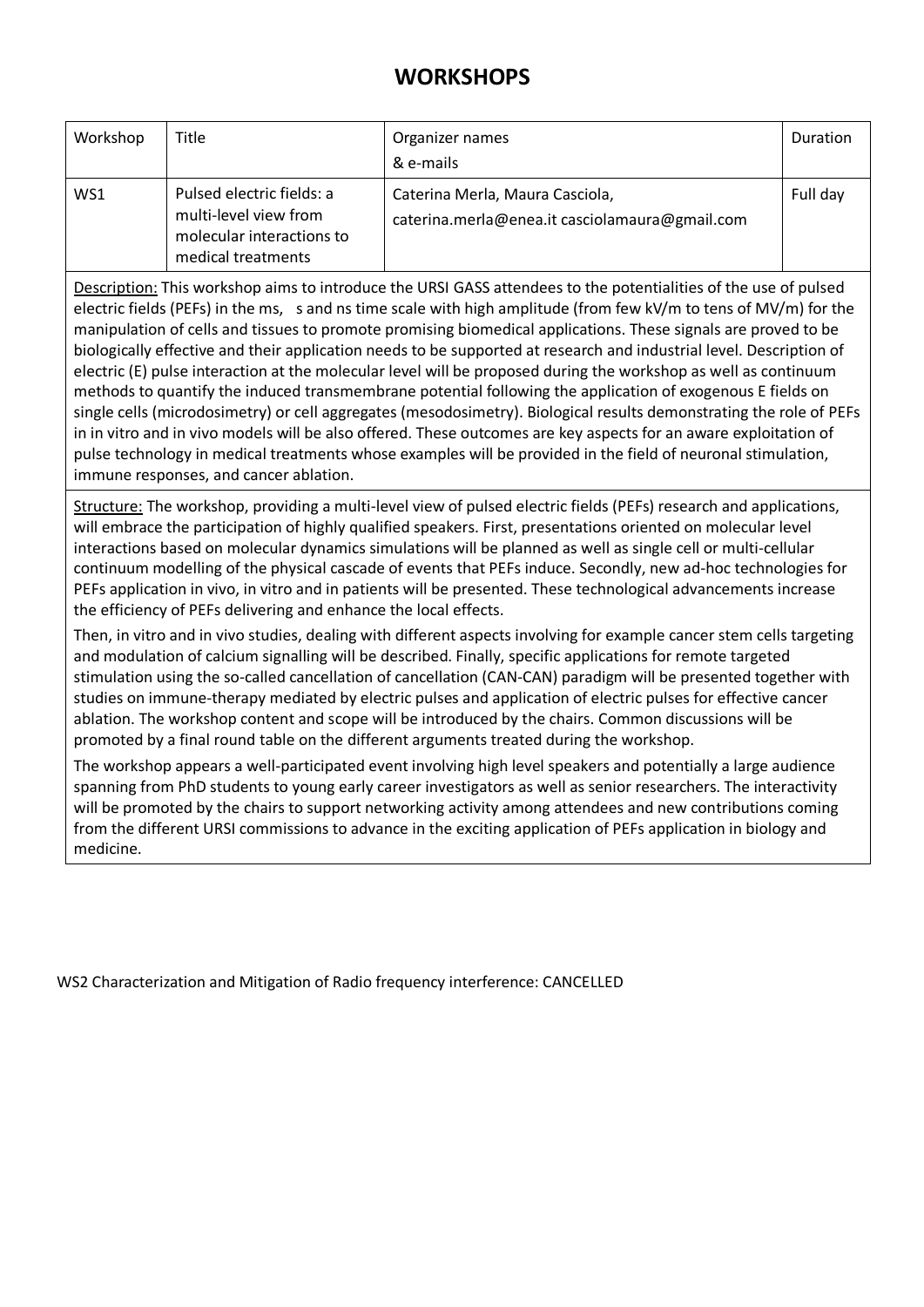## **WORKSHOPS**

| Workshop | Title                                                                                                 | Organizer names<br>& e-mails                                                      | Duration |
|----------|-------------------------------------------------------------------------------------------------------|-----------------------------------------------------------------------------------|----------|
| WS1      | Pulsed electric fields: a<br>multi-level view from<br>molecular interactions to<br>medical treatments | Caterina Merla, Maura Casciola,<br>caterina.merla@enea.it casciolamaura@gmail.com | Full day |

Description: This workshop aims to introduce the URSI GASS attendees to the potentialities of the use of pulsed electric fields (PEFs) in the ms, s and ns time scale with high amplitude (from few kV/m to tens of MV/m) for the manipulation of cells and tissues to promote promising biomedical applications. These signals are proved to be biologically effective and their application needs to be supported at research and industrial level. Description of electric (E) pulse interaction at the molecular level will be proposed during the workshop as well as continuum methods to quantify the induced transmembrane potential following the application of exogenous E fields on single cells (microdosimetry) or cell aggregates (mesodosimetry). Biological results demonstrating the role of PEFs in in vitro and in vivo models will be also offered. These outcomes are key aspects for an aware exploitation of pulse technology in medical treatments whose examples will be provided in the field of neuronal stimulation, immune responses, and cancer ablation.

Structure: The workshop, providing a multi-level view of pulsed electric fields (PEFs) research and applications, will embrace the participation of highly qualified speakers. First, presentations oriented on molecular level interactions based on molecular dynamics simulations will be planned as well as single cell or multi-cellular continuum modelling of the physical cascade of events that PEFs induce. Secondly, new ad-hoc technologies for PEFs application in vivo, in vitro and in patients will be presented. These technological advancements increase the efficiency of PEFs delivering and enhance the local effects.

Then, in vitro and in vivo studies, dealing with different aspects involving for example cancer stem cells targeting and modulation of calcium signalling will be described. Finally, specific applications for remote targeted stimulation using the so-called cancellation of cancellation (CAN-CAN) paradigm will be presented together with studies on immune-therapy mediated by electric pulses and application of electric pulses for effective cancer ablation. The workshop content and scope will be introduced by the chairs. Common discussions will be promoted by a final round table on the different arguments treated during the workshop.

The workshop appears a well-participated event involving high level speakers and potentially a large audience spanning from PhD students to young early career investigators as well as senior researchers. The interactivity will be promoted by the chairs to support networking activity among attendees and new contributions coming from the different URSI commissions to advance in the exciting application of PEFs application in biology and medicine.

WS2 Characterization and Mitigation of Radio frequency interference: CANCELLED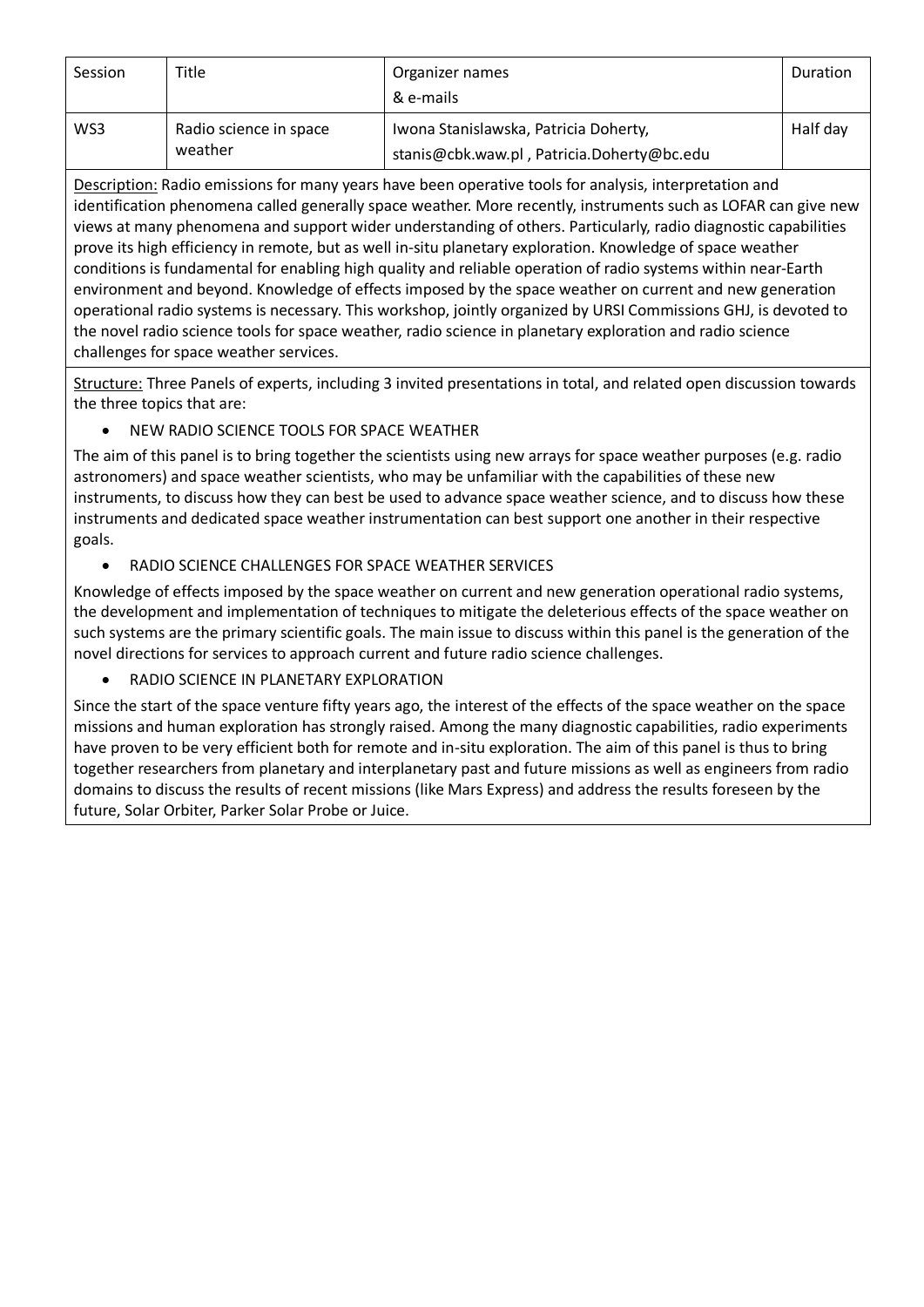| Session | Title                             | Organizer names<br>& e-mails                                                        | Duration |
|---------|-----------------------------------|-------------------------------------------------------------------------------------|----------|
| WS3     | Radio science in space<br>weather | Iwona Stanislawska, Patricia Doherty,<br>stanis@cbk.waw.pl, Patricia.Doherty@bc.edu | Half day |

Description: Radio emissions for many years have been operative tools for analysis, interpretation and identification phenomena called generally space weather. More recently, instruments such as LOFAR can give new views at many phenomena and support wider understanding of others. Particularly, radio diagnostic capabilities prove its high efficiency in remote, but as well in-situ planetary exploration. Knowledge of space weather conditions is fundamental for enabling high quality and reliable operation of radio systems within near-Earth environment and beyond. Knowledge of effects imposed by the space weather on current and new generation operational radio systems is necessary. This workshop, jointly organized by URSI Commissions GHJ, is devoted to the novel radio science tools for space weather, radio science in planetary exploration and radio science challenges for space weather services.

Structure: Three Panels of experts, including 3 invited presentations in total, and related open discussion towards the three topics that are:

## • NEW RADIO SCIENCE TOOLS FOR SPACE WEATHER

The aim of this panel is to bring together the scientists using new arrays for space weather purposes (e.g. radio astronomers) and space weather scientists, who may be unfamiliar with the capabilities of these new instruments, to discuss how they can best be used to advance space weather science, and to discuss how these instruments and dedicated space weather instrumentation can best support one another in their respective goals.

• RADIO SCIENCE CHALLENGES FOR SPACE WEATHER SERVICES

Knowledge of effects imposed by the space weather on current and new generation operational radio systems, the development and implementation of techniques to mitigate the deleterious effects of the space weather on such systems are the primary scientific goals. The main issue to discuss within this panel is the generation of the novel directions for services to approach current and future radio science challenges.

• RADIO SCIENCE IN PLANETARY EXPLORATION

Since the start of the space venture fifty years ago, the interest of the effects of the space weather on the space missions and human exploration has strongly raised. Among the many diagnostic capabilities, radio experiments have proven to be very efficient both for remote and in-situ exploration. The aim of this panel is thus to bring together researchers from planetary and interplanetary past and future missions as well as engineers from radio domains to discuss the results of recent missions (like Mars Express) and address the results foreseen by the future, Solar Orbiter, Parker Solar Probe or Juice.